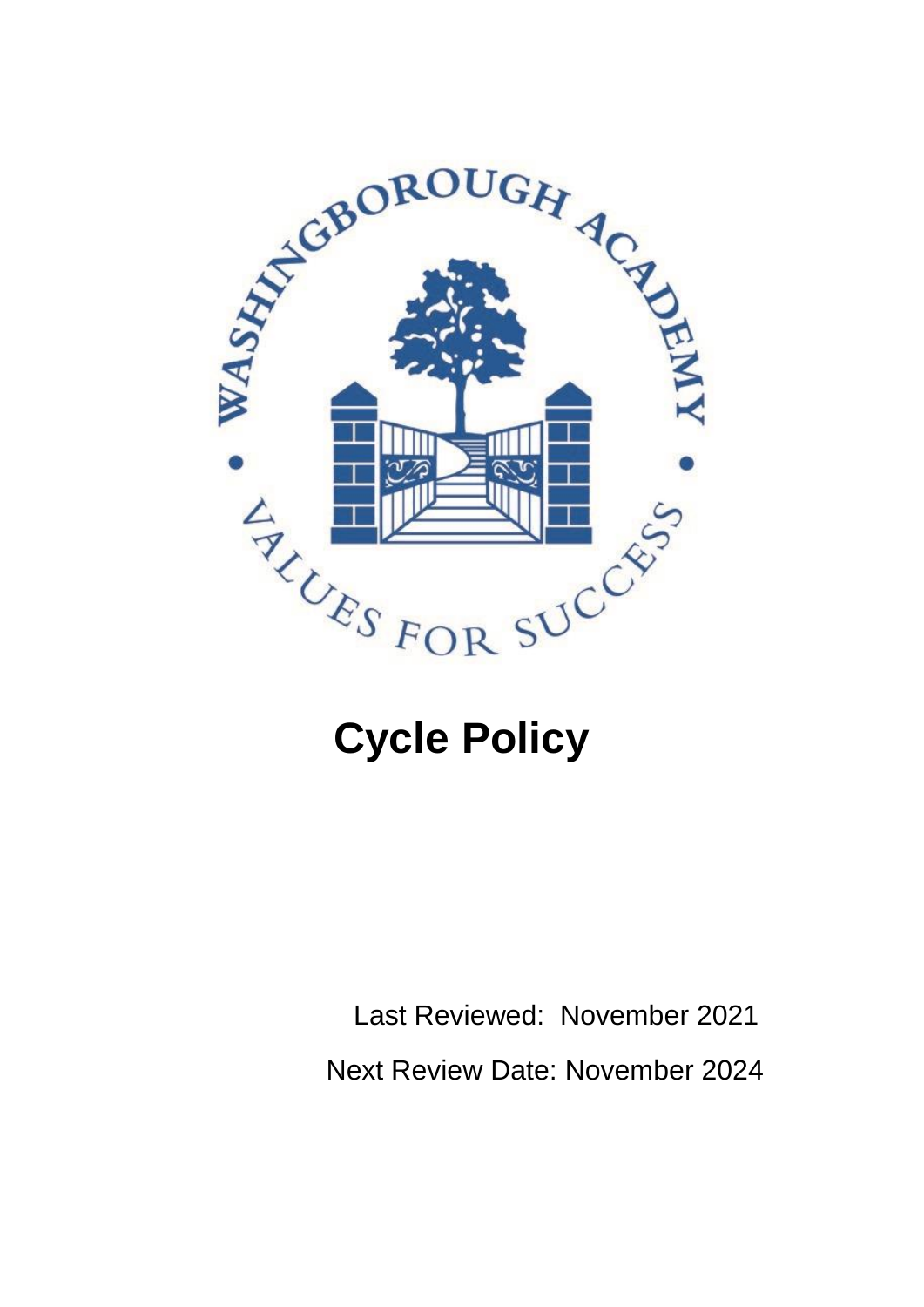

# **Cycle Policy**

 Last Reviewed: November 2021 Next Review Date: November 2024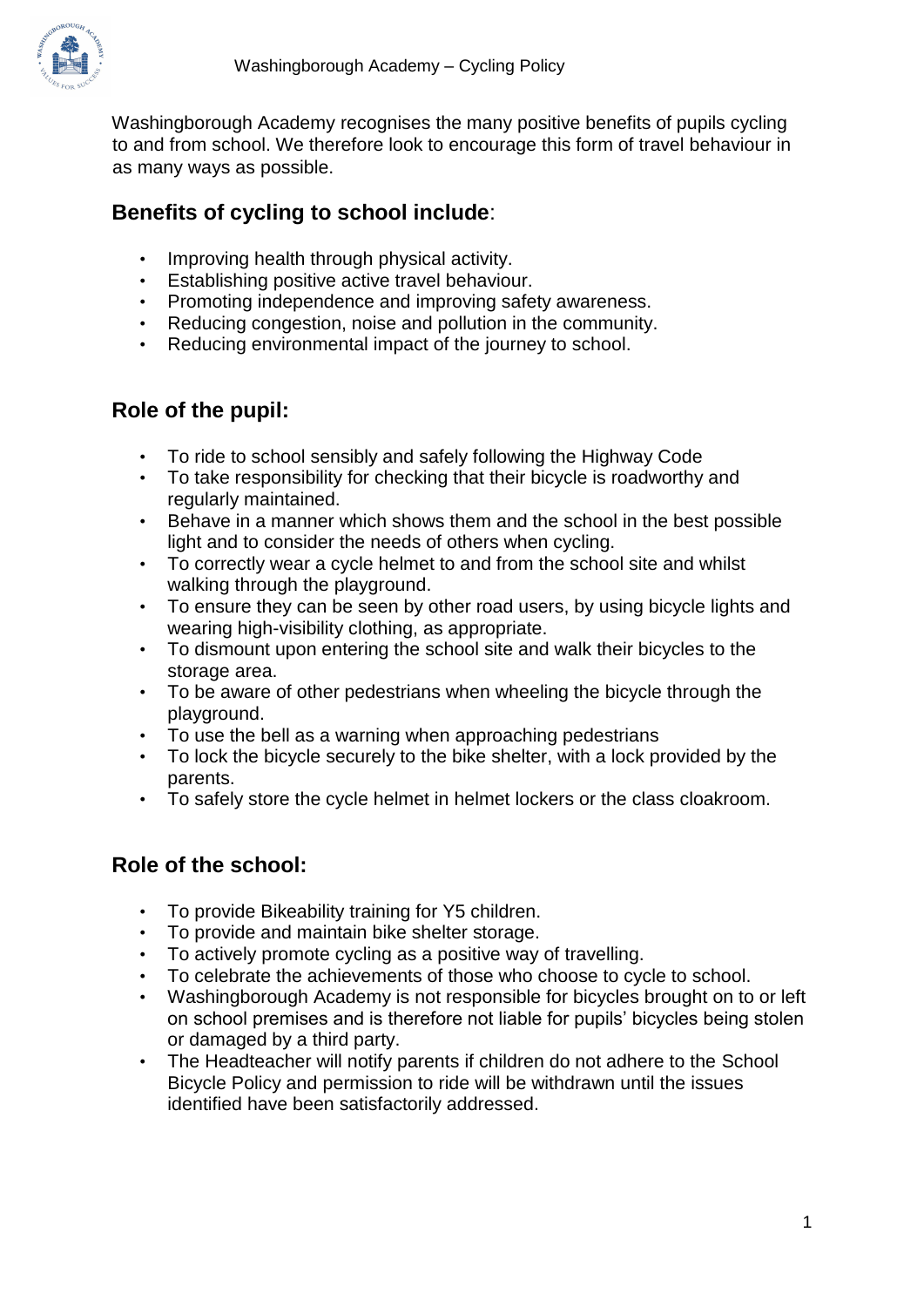

Washingborough Academy recognises the many positive benefits of pupils cycling to and from school. We therefore look to encourage this form of travel behaviour in as many ways as possible.

## **Benefits of cycling to school include**:

- Improving health through physical activity.
- Establishing positive active travel behaviour.
- Promoting independence and improving safety awareness.
- Reducing congestion, noise and pollution in the community.
- Reducing environmental impact of the journey to school.

### **Role of the pupil:**

- To ride to school sensibly and safely following the Highway Code
- To take responsibility for checking that their bicycle is roadworthy and regularly maintained.
- Behave in a manner which shows them and the school in the best possible light and to consider the needs of others when cycling.
- To correctly wear a cycle helmet to and from the school site and whilst walking through the playground.
- To ensure they can be seen by other road users, by using bicycle lights and wearing high-visibility clothing, as appropriate.
- To dismount upon entering the school site and walk their bicycles to the storage area.
- To be aware of other pedestrians when wheeling the bicycle through the playground.
- To use the bell as a warning when approaching pedestrians
- To lock the bicycle securely to the bike shelter, with a lock provided by the parents.
- To safely store the cycle helmet in helmet lockers or the class cloakroom.

### **Role of the school:**

- To provide Bikeability training for Y5 children.
- To provide and maintain bike shelter storage.
- To actively promote cycling as a positive way of travelling.
- To celebrate the achievements of those who choose to cycle to school.
- Washingborough Academy is not responsible for bicycles brought on to or left on school premises and is therefore not liable for pupils' bicycles being stolen or damaged by a third party.
- The Headteacher will notify parents if children do not adhere to the School Bicycle Policy and permission to ride will be withdrawn until the issues identified have been satisfactorily addressed.